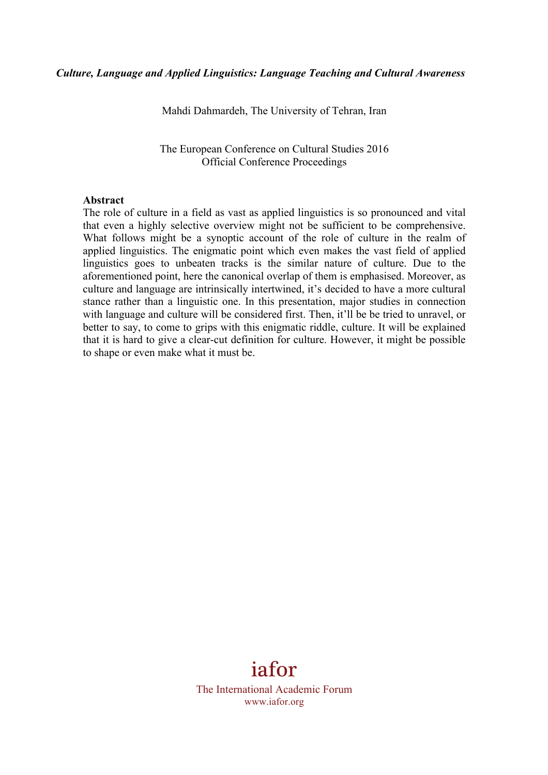Mahdi Dahmardeh, The University of Tehran, Iran

The European Conference on Cultural Studies 2016 Official Conference Proceedings

#### **Abstract**

The role of culture in a field as vast as applied linguistics is so pronounced and vital that even a highly selective overview might not be sufficient to be comprehensive. What follows might be a synoptic account of the role of culture in the realm of applied linguistics. The enigmatic point which even makes the vast field of applied linguistics goes to unbeaten tracks is the similar nature of culture. Due to the aforementioned point, here the canonical overlap of them is emphasised. Moreover, as culture and language are intrinsically intertwined, it's decided to have a more cultural stance rather than a linguistic one. In this presentation, major studies in connection with language and culture will be considered first. Then, it'll be be tried to unravel, or better to say, to come to grips with this enigmatic riddle, culture. It will be explained that it is hard to give a clear-cut definition for culture. However, it might be possible to shape or even make what it must be.

# iafor

The International Academic Forum www.iafor.org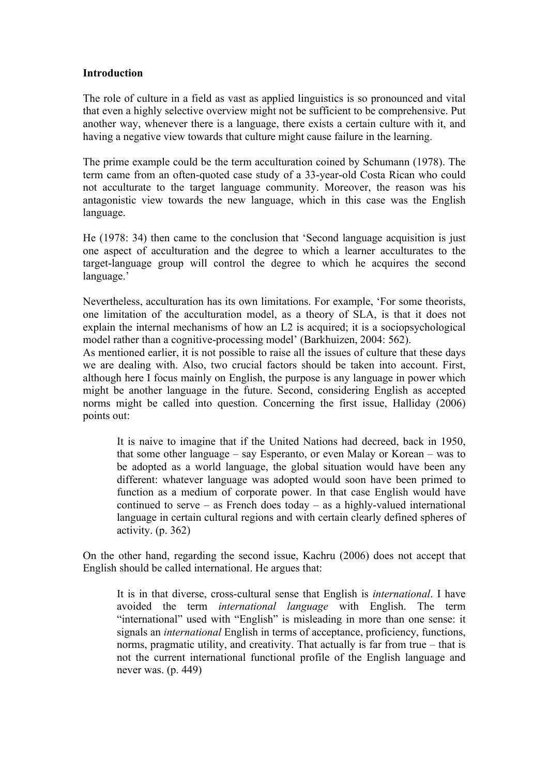### **Introduction**

The role of culture in a field as vast as applied linguistics is so pronounced and vital that even a highly selective overview might not be sufficient to be comprehensive. Put another way, whenever there is a language, there exists a certain culture with it, and having a negative view towards that culture might cause failure in the learning.

The prime example could be the term acculturation coined by Schumann (1978). The term came from an often-quoted case study of a 33-year-old Costa Rican who could not acculturate to the target language community. Moreover, the reason was his antagonistic view towards the new language, which in this case was the English language.

He (1978: 34) then came to the conclusion that 'Second language acquisition is just one aspect of acculturation and the degree to which a learner acculturates to the target-language group will control the degree to which he acquires the second language.'

Nevertheless, acculturation has its own limitations. For example, 'For some theorists, one limitation of the acculturation model, as a theory of SLA, is that it does not explain the internal mechanisms of how an L2 is acquired; it is a sociopsychological model rather than a cognitive-processing model' (Barkhuizen, 2004: 562).

As mentioned earlier, it is not possible to raise all the issues of culture that these days we are dealing with. Also, two crucial factors should be taken into account. First, although here I focus mainly on English, the purpose is any language in power which might be another language in the future. Second, considering English as accepted norms might be called into question. Concerning the first issue, Halliday (2006) points out:

It is naive to imagine that if the United Nations had decreed, back in 1950, that some other language – say Esperanto, or even Malay or Korean – was to be adopted as a world language, the global situation would have been any different: whatever language was adopted would soon have been primed to function as a medium of corporate power. In that case English would have continued to serve – as French does today – as a highly-valued international language in certain cultural regions and with certain clearly defined spheres of activity. (p. 362)

On the other hand, regarding the second issue, Kachru (2006) does not accept that English should be called international. He argues that:

It is in that diverse, cross-cultural sense that English is *international*. I have avoided the term *international language* with English. The term "international" used with "English" is misleading in more than one sense: it signals an *international* English in terms of acceptance, proficiency, functions, norms, pragmatic utility, and creativity. That actually is far from true – that is not the current international functional profile of the English language and never was. (p. 449)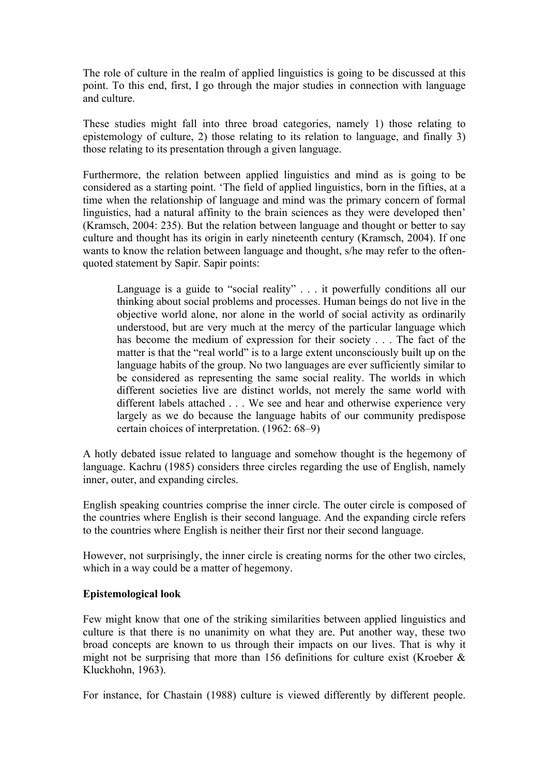The role of culture in the realm of applied linguistics is going to be discussed at this point. To this end, first, I go through the major studies in connection with language and culture.

These studies might fall into three broad categories, namely 1) those relating to epistemology of culture, 2) those relating to its relation to language, and finally 3) those relating to its presentation through a given language.

Furthermore, the relation between applied linguistics and mind as is going to be considered as a starting point. 'The field of applied linguistics, born in the fifties, at a time when the relationship of language and mind was the primary concern of formal linguistics, had a natural affinity to the brain sciences as they were developed then' (Kramsch, 2004: 235). But the relation between language and thought or better to say culture and thought has its origin in early nineteenth century (Kramsch, 2004). If one wants to know the relation between language and thought, s/he may refer to the oftenquoted statement by Sapir. Sapir points:

Language is a guide to "social reality" . . . it powerfully conditions all our thinking about social problems and processes. Human beings do not live in the objective world alone, nor alone in the world of social activity as ordinarily understood, but are very much at the mercy of the particular language which has become the medium of expression for their society . . . The fact of the matter is that the "real world" is to a large extent unconsciously built up on the language habits of the group. No two languages are ever sufficiently similar to be considered as representing the same social reality. The worlds in which different societies live are distinct worlds, not merely the same world with different labels attached . . . We see and hear and otherwise experience very largely as we do because the language habits of our community predispose certain choices of interpretation. (1962: 68–9)

A hotly debated issue related to language and somehow thought is the hegemony of language. Kachru (1985) considers three circles regarding the use of English, namely inner, outer, and expanding circles.

English speaking countries comprise the inner circle. The outer circle is composed of the countries where English is their second language. And the expanding circle refers to the countries where English is neither their first nor their second language.

However, not surprisingly, the inner circle is creating norms for the other two circles, which in a way could be a matter of hegemony.

### **Epistemological look**

Few might know that one of the striking similarities between applied linguistics and culture is that there is no unanimity on what they are. Put another way, these two broad concepts are known to us through their impacts on our lives. That is why it might not be surprising that more than 156 definitions for culture exist (Kroeber  $\&$ Kluckhohn, 1963).

For instance, for Chastain (1988) culture is viewed differently by different people.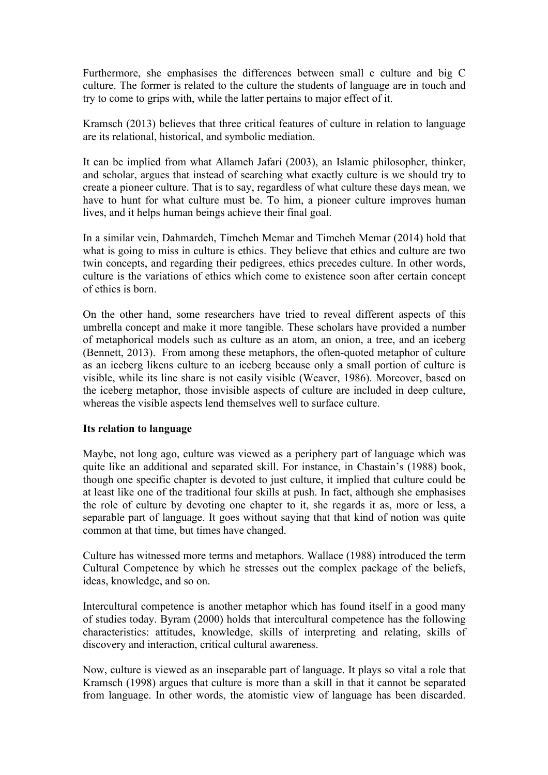Furthermore, she emphasises the differences between small c culture and big C culture. The former is related to the culture the students of language are in touch and try to come to grips with, while the latter pertains to major effect of it.

Kramsch (2013) believes that three critical features of culture in relation to language are its relational, historical, and symbolic mediation.

It can be implied from what Allameh Jafari (2003), an Islamic philosopher, thinker, and scholar, argues that instead of searching what exactly culture is we should try to create a pioneer culture. That is to say, regardless of what culture these days mean, we have to hunt for what culture must be. To him, a pioneer culture improves human lives, and it helps human beings achieve their final goal.

In a similar vein, Dahmardeh, Timcheh Memar and Timcheh Memar (2014) hold that what is going to miss in culture is ethics. They believe that ethics and culture are two twin concepts, and regarding their pedigrees, ethics precedes culture. In other words, culture is the variations of ethics which come to existence soon after certain concept of ethics is born.

On the other hand, some researchers have tried to reveal different aspects of this umbrella concept and make it more tangible. These scholars have provided a number of metaphorical models such as culture as an atom, an onion, a tree, and an iceberg (Bennett, 2013). From among these metaphors, the often-quoted metaphor of culture as an iceberg likens culture to an iceberg because only a small portion of culture is visible, while its line share is not easily visible (Weaver, 1986). Moreover, based on the iceberg metaphor, those invisible aspects of culture are included in deep culture, whereas the visible aspects lend themselves well to surface culture.

### **Its relation to language**

Maybe, not long ago, culture was viewed as a periphery part of language which was quite like an additional and separated skill. For instance, in Chastain's (1988) book, though one specific chapter is devoted to just culture, it implied that culture could be at least like one of the traditional four skills at push. In fact, although she emphasises the role of culture by devoting one chapter to it, she regards it as, more or less, a separable part of language. It goes without saying that that kind of notion was quite common at that time, but times have changed.

Culture has witnessed more terms and metaphors. Wallace (1988) introduced the term Cultural Competence by which he stresses out the complex package of the beliefs, ideas, knowledge, and so on.

Intercultural competence is another metaphor which has found itself in a good many of studies today. Byram (2000) holds that intercultural competence has the following characteristics: attitudes, knowledge, skills of interpreting and relating, skills of discovery and interaction, critical cultural awareness.

Now, culture is viewed as an inseparable part of language. It plays so vital a role that Kramsch (1998) argues that culture is more than a skill in that it cannot be separated from language. In other words, the atomistic view of language has been discarded.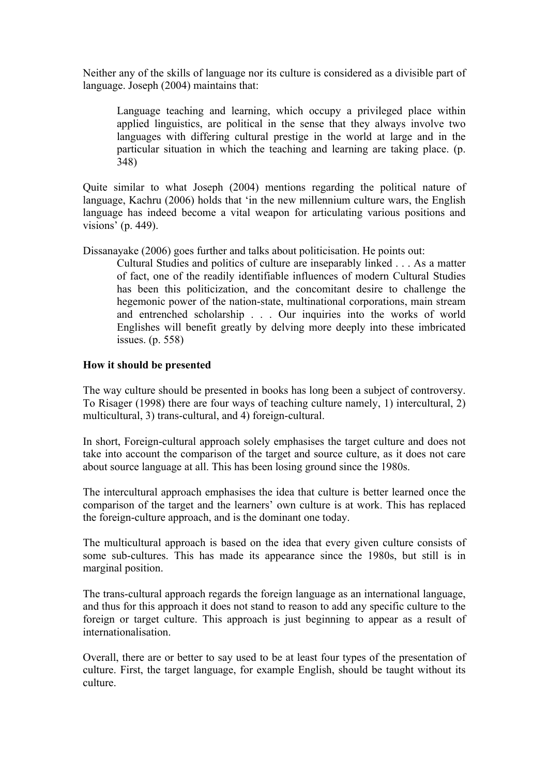Neither any of the skills of language nor its culture is considered as a divisible part of language. Joseph (2004) maintains that:

Language teaching and learning, which occupy a privileged place within applied linguistics, are political in the sense that they always involve two languages with differing cultural prestige in the world at large and in the particular situation in which the teaching and learning are taking place. (p. 348)

Quite similar to what Joseph (2004) mentions regarding the political nature of language, Kachru (2006) holds that 'in the new millennium culture wars, the English language has indeed become a vital weapon for articulating various positions and visions' (p. 449).

Dissanayake (2006) goes further and talks about politicisation. He points out:

Cultural Studies and politics of culture are inseparably linked . . . As a matter of fact, one of the readily identifiable influences of modern Cultural Studies has been this politicization, and the concomitant desire to challenge the hegemonic power of the nation-state, multinational corporations, main stream and entrenched scholarship . . . Our inquiries into the works of world Englishes will benefit greatly by delving more deeply into these imbricated issues. (p. 558)

# **How it should be presented**

The way culture should be presented in books has long been a subject of controversy. To Risager (1998) there are four ways of teaching culture namely, 1) intercultural, 2) multicultural, 3) trans-cultural, and 4) foreign-cultural.

In short, Foreign-cultural approach solely emphasises the target culture and does not take into account the comparison of the target and source culture, as it does not care about source language at all. This has been losing ground since the 1980s.

The intercultural approach emphasises the idea that culture is better learned once the comparison of the target and the learners' own culture is at work. This has replaced the foreign-culture approach, and is the dominant one today.

The multicultural approach is based on the idea that every given culture consists of some sub-cultures. This has made its appearance since the 1980s, but still is in marginal position.

The trans-cultural approach regards the foreign language as an international language, and thus for this approach it does not stand to reason to add any specific culture to the foreign or target culture. This approach is just beginning to appear as a result of internationalisation.

Overall, there are or better to say used to be at least four types of the presentation of culture. First, the target language, for example English, should be taught without its culture.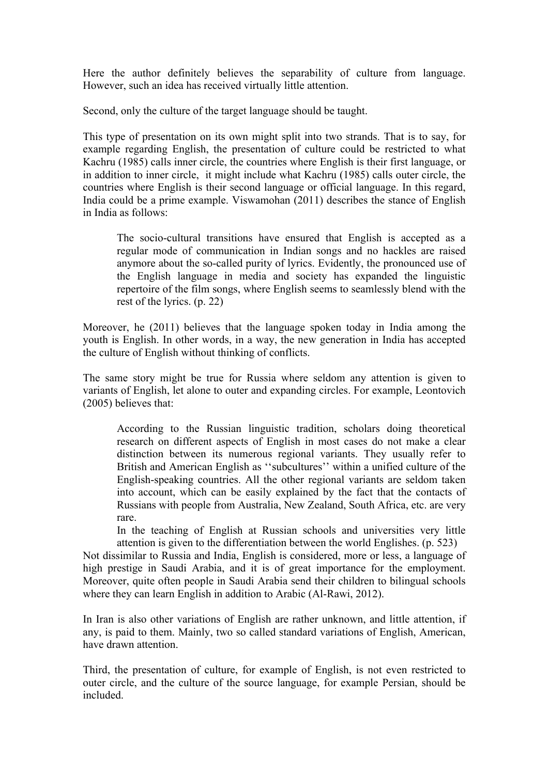Here the author definitely believes the separability of culture from language. However, such an idea has received virtually little attention.

Second, only the culture of the target language should be taught.

This type of presentation on its own might split into two strands. That is to say, for example regarding English, the presentation of culture could be restricted to what Kachru (1985) calls inner circle, the countries where English is their first language, or in addition to inner circle, it might include what Kachru (1985) calls outer circle, the countries where English is their second language or official language. In this regard, India could be a prime example. Viswamohan (2011) describes the stance of English in India as follows:

The socio-cultural transitions have ensured that English is accepted as a regular mode of communication in Indian songs and no hackles are raised anymore about the so-called purity of lyrics. Evidently, the pronounced use of the English language in media and society has expanded the linguistic repertoire of the film songs, where English seems to seamlessly blend with the rest of the lyrics. (p. 22)

Moreover, he (2011) believes that the language spoken today in India among the youth is English. In other words, in a way, the new generation in India has accepted the culture of English without thinking of conflicts.

The same story might be true for Russia where seldom any attention is given to variants of English, let alone to outer and expanding circles. For example, Leontovich (2005) believes that:

According to the Russian linguistic tradition, scholars doing theoretical research on different aspects of English in most cases do not make a clear distinction between its numerous regional variants. They usually refer to British and American English as ''subcultures'' within a unified culture of the English-speaking countries. All the other regional variants are seldom taken into account, which can be easily explained by the fact that the contacts of Russians with people from Australia, New Zealand, South Africa, etc. are very rare.

In the teaching of English at Russian schools and universities very little attention is given to the differentiation between the world Englishes. (p. 523)

Not dissimilar to Russia and India, English is considered, more or less, a language of high prestige in Saudi Arabia, and it is of great importance for the employment. Moreover, quite often people in Saudi Arabia send their children to bilingual schools where they can learn English in addition to Arabic (Al-Rawi, 2012).

In Iran is also other variations of English are rather unknown, and little attention, if any, is paid to them. Mainly, two so called standard variations of English, American, have drawn attention.

Third, the presentation of culture, for example of English, is not even restricted to outer circle, and the culture of the source language, for example Persian, should be included.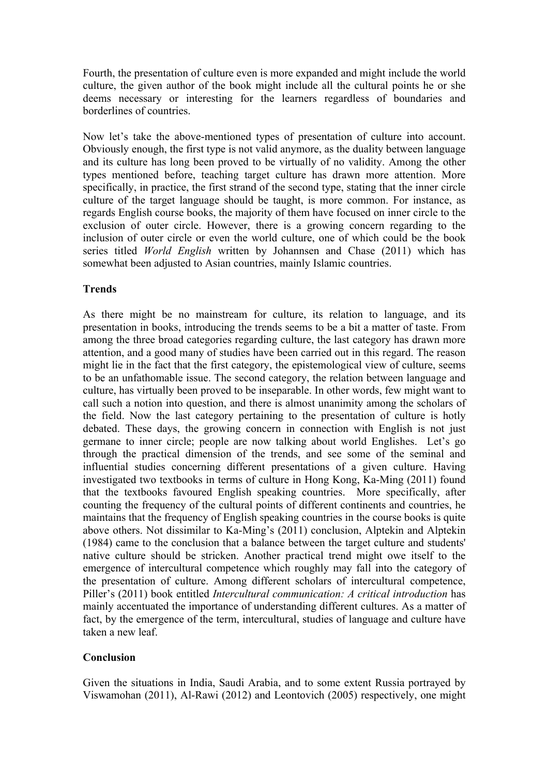Fourth, the presentation of culture even is more expanded and might include the world culture, the given author of the book might include all the cultural points he or she deems necessary or interesting for the learners regardless of boundaries and borderlines of countries.

Now let's take the above-mentioned types of presentation of culture into account. Obviously enough, the first type is not valid anymore, as the duality between language and its culture has long been proved to be virtually of no validity. Among the other types mentioned before, teaching target culture has drawn more attention. More specifically, in practice, the first strand of the second type, stating that the inner circle culture of the target language should be taught, is more common. For instance, as regards English course books, the majority of them have focused on inner circle to the exclusion of outer circle. However, there is a growing concern regarding to the inclusion of outer circle or even the world culture, one of which could be the book series titled *World English* written by Johannsen and Chase (2011) which has somewhat been adjusted to Asian countries, mainly Islamic countries.

# **Trends**

As there might be no mainstream for culture, its relation to language, and its presentation in books, introducing the trends seems to be a bit a matter of taste. From among the three broad categories regarding culture, the last category has drawn more attention, and a good many of studies have been carried out in this regard. The reason might lie in the fact that the first category, the epistemological view of culture, seems to be an unfathomable issue. The second category, the relation between language and culture, has virtually been proved to be inseparable. In other words, few might want to call such a notion into question, and there is almost unanimity among the scholars of the field. Now the last category pertaining to the presentation of culture is hotly debated. These days, the growing concern in connection with English is not just germane to inner circle; people are now talking about world Englishes. Let's go through the practical dimension of the trends, and see some of the seminal and influential studies concerning different presentations of a given culture. Having investigated two textbooks in terms of culture in Hong Kong, Ka-Ming (2011) found that the textbooks favoured English speaking countries. More specifically, after counting the frequency of the cultural points of different continents and countries, he maintains that the frequency of English speaking countries in the course books is quite above others. Not dissimilar to Ka-Ming's (2011) conclusion, Alptekin and Alptekin (1984) came to the conclusion that a balance between the target culture and students' native culture should be stricken. Another practical trend might owe itself to the emergence of intercultural competence which roughly may fall into the category of the presentation of culture. Among different scholars of intercultural competence, Piller's (2011) book entitled *Intercultural communication: A critical introduction* has mainly accentuated the importance of understanding different cultures. As a matter of fact, by the emergence of the term, intercultural, studies of language and culture have taken a new leaf.

### **Conclusion**

Given the situations in India, Saudi Arabia, and to some extent Russia portrayed by Viswamohan (2011), Al-Rawi (2012) and Leontovich (2005) respectively, one might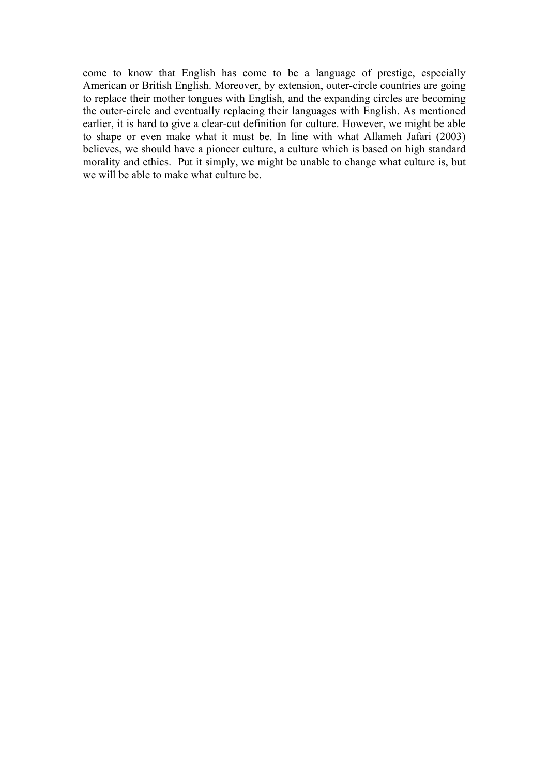come to know that English has come to be a language of prestige, especially American or British English. Moreover, by extension, outer-circle countries are going to replace their mother tongues with English, and the expanding circles are becoming the outer-circle and eventually replacing their languages with English. As mentioned earlier, it is hard to give a clear-cut definition for culture. However, we might be able to shape or even make what it must be. In line with what Allameh Jafari (2003) believes, we should have a pioneer culture, a culture which is based on high standard morality and ethics. Put it simply, we might be unable to change what culture is, but we will be able to make what culture be.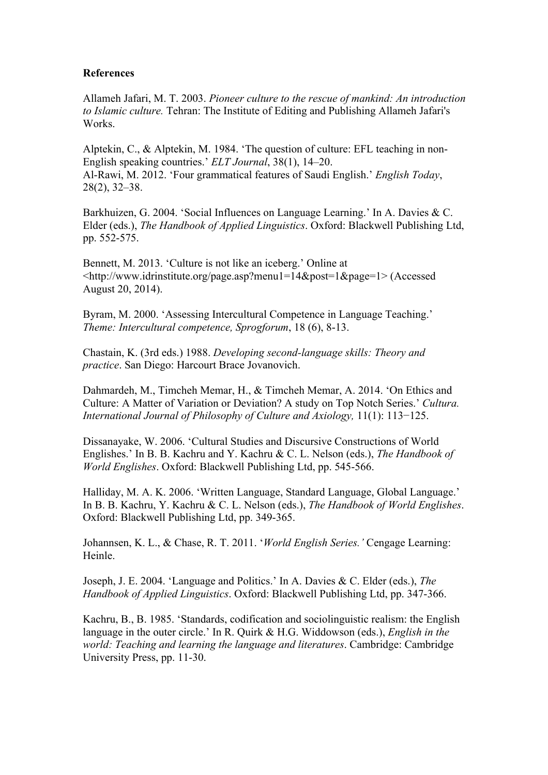### **References**

Allameh Jafari, M. T. 2003. *Pioneer culture to the rescue of mankind: An introduction to Islamic culture.* Tehran: The Institute of Editing and Publishing Allameh Jafari's Works.

Alptekin, C., & Alptekin, M. 1984. 'The question of culture: EFL teaching in non-English speaking countries.' *ELT Journal*, 38(1), 14–20. Al-Rawi, M. 2012. 'Four grammatical features of Saudi English.' *English Today*, 28(2), 32–38.

Barkhuizen, G. 2004. 'Social Influences on Language Learning.' In A. Davies & C. Elder (eds.), *The Handbook of Applied Linguistics*. Oxford: Blackwell Publishing Ltd, pp. 552-575.

Bennett, M. 2013. 'Culture is not like an iceberg.' Online at <http://www.idrinstitute.org/page.asp?menu1=14&post=1&page=1> (Accessed August 20, 2014).

Byram, M. 2000. 'Assessing Intercultural Competence in Language Teaching.' *Theme: Intercultural competence, Sprogforum*, 18 (6), 8-13.

Chastain, K. (3rd eds.) 1988. *Developing second-language skills: Theory and practice*. San Diego: Harcourt Brace Jovanovich.

Dahmardeh, M., Timcheh Memar, H., & Timcheh Memar, A. 2014. 'On Ethics and Culture: A Matter of Variation or Deviation? A study on Top Notch Series.' *Cultura. International Journal of Philosophy of Culture and Axiology,* 11(1): 113−125.

Dissanayake, W. 2006. 'Cultural Studies and Discursive Constructions of World Englishes.' In B. B. Kachru and Y. Kachru & C. L. Nelson (eds.), *The Handbook of World Englishes*. Oxford: Blackwell Publishing Ltd, pp. 545-566.

Halliday, M. A. K. 2006. 'Written Language, Standard Language, Global Language.' In B. B. Kachru, Y. Kachru & C. L. Nelson (eds.), *The Handbook of World Englishes*. Oxford: Blackwell Publishing Ltd, pp. 349-365.

Johannsen, K. L., & Chase, R. T. 2011. '*World English Series.'* Cengage Learning: Heinle.

Joseph, J. E. 2004. 'Language and Politics.' In A. Davies & C. Elder (eds.), *The Handbook of Applied Linguistics*. Oxford: Blackwell Publishing Ltd, pp. 347-366.

Kachru, B., B. 1985. 'Standards, codification and sociolinguistic realism: the English language in the outer circle.' In R. Quirk & H.G. Widdowson (eds.), *English in the world: Teaching and learning the language and literatures*. Cambridge: Cambridge University Press, pp. 11-30.